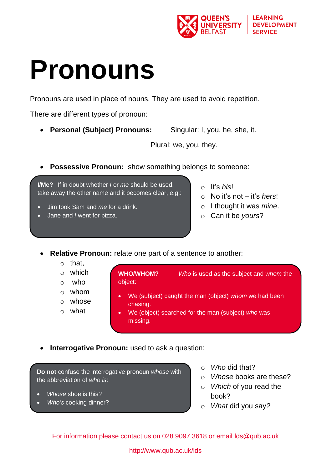

## **Pronouns**

Pronouns are used in place of nouns. They are used to avoid repetition.

There are different types of pronoun:

**Personal (Subject) Pronouns:** Singular: I, you, he, she, it.

Plural: we, you, they.

**Possessive Pronoun:** show something belongs to someone:

**I/Me?** If in doubt whether *I* or *me* should be used, take away the other name and it becomes clear, e.g.:

- Jim took Sam and *me* for a drink.
- Jane and *I* went for pizza.
- o It's *his*!
- o No it's not it's *hers*!
- o I thought it was *mine*.
- o Can it be *yours*?
- **Relative Pronoun:** relate one part of a sentence to another:
	- o that,
	- $\circ$  which
	- $\circ$  who
	- o whom
	- o whose
	- o what

**WHO/WHOM?** *Who* is used as the subject and *whom* the object:

- We (subject) caught the man (object) *whom* we had been chasing.
- We (object) searched for the man (subject) *who* was missing.
- **Interrogative Pronoun:** used to ask a question:

**Do not** confuse the interrogative pronoun *whose* with the abbreviation of *who is*:

- *Whose* shoe is this?
- *Who's* cooking dinner?
- o *Who* did that?
- o *Whose* books are these?
- o *Which* of you read the book?
- o *What* did you say*?*

For information please contact us on 028 9097 3618 or email [lds@qub.ac.uk](mailto:lds@qub.ac.uk)

## http://www.qub.ac.uk/lds